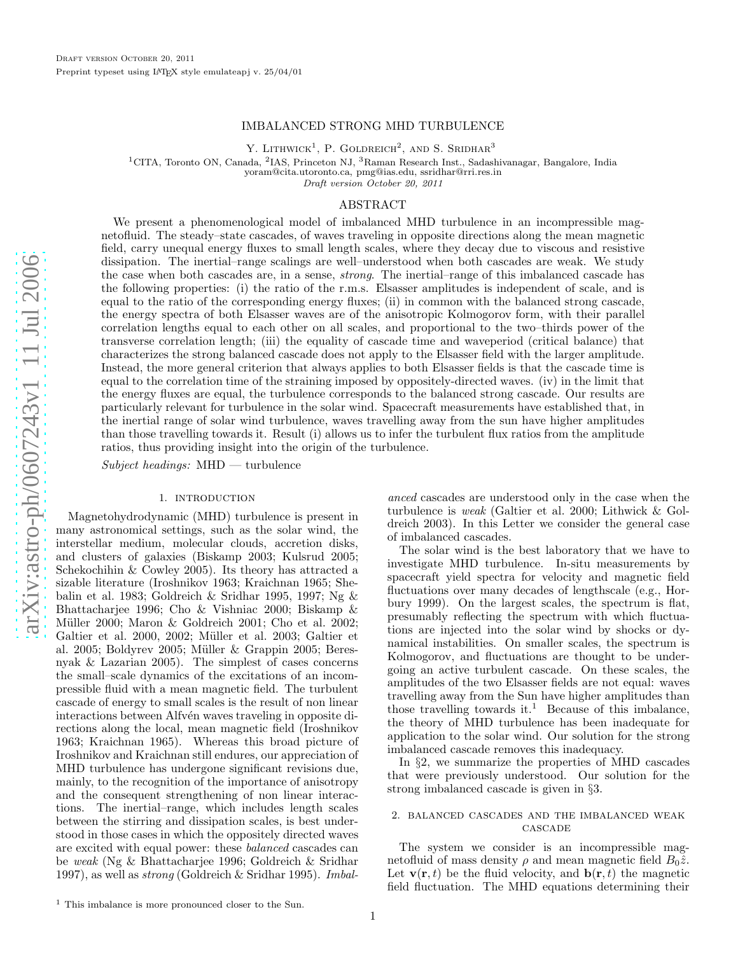## IMBALANCED STRONG MHD TURBULENCE

Y. LITHWICK<sup>1</sup>, P. GOLDREICH<sup>2</sup>, AND S. SRIDHAR<sup>3</sup>

<sup>1</sup>CITA, Toronto ON, Canada, <sup>2</sup>IAS, Princeton NJ, <sup>3</sup>Raman Research Inst., Sadashivanagar, Bangalore, India

yoram@cita.utoronto.ca, pmg@ias.edu, ssridhar@rri.res.in

Draft version October 20, 2011

### ABSTRACT

We present a phenomenological model of imbalanced MHD turbulence in an incompressible magnetofluid. The steady–state cascades, of waves traveling in opposite directions along the mean magnetic field, carry unequal energy fluxes to small length scales, where they decay due to viscous and resistive dissipation. The inertial–range scalings are well–understood when both cascades are weak. We study the case when both cascades are, in a sense, strong. The inertial–range of this imbalanced cascade has the following properties: (i) the ratio of the r.m.s. Elsasser amplitudes is independent of scale, and is equal to the ratio of the corresponding energy fluxes; (ii) in common with the balanced strong cascade, the energy spectra of both Elsasser waves are of the anisotropic Kolmogorov form, with their parallel correlation lengths equal to each other on all scales, and proportional to the two–thirds power of the transverse correlation length; (iii) the equality of cascade time and waveperiod (critical balance) that characterizes the strong balanced cascade does not apply to the Elsasser field with the larger amplitude. Instead, the more general criterion that always applies to both Elsasser fields is that the cascade time is equal to the correlation time of the straining imposed by oppositely-directed waves. (iv) in the limit that the energy fluxes are equal, the turbulence corresponds to the balanced strong cascade. Our results are particularly relevant for turbulence in the solar wind. Spacecraft measurements have established that, in the inertial range of solar wind turbulence, waves travelling away from the sun have higher amplitudes than those travelling towards it. Result (i) allows us to infer the turbulent flux ratios from the amplitude ratios, thus providing insight into the origin of the turbulence.

 $Subject$  headings:  $MHD$  — turbulence

### 1. INTRODUCTION

Magnetohydrodynamic (MHD) turbulence is present in many astronomical settings, such as the solar wind, the interstellar medium, molecular clouds, accretion disks, and clusters of galaxies (Biskamp 2003; Kulsrud 2005; Schekochihin & Cowley 2005). Its theory has attracted a sizable literature (Iroshnikov 1963; Kraichnan 1965; Shebalin et al. 1983; Goldreich & Sridhar 1995, 1997; Ng & Bhattacharjee 1996; Cho & Vishniac 2000; Biskamp & Müller 2000; Maron & Goldreich 2001; Cho et al. 2002; Galtier et al. 2000, 2002; Müller et al. 2003; Galtier et al. 2005; Boldyrev 2005; Müller & Grappin 2005; Beresnyak & Lazarian 2005). The simplest of cases concerns the small–scale dynamics of the excitations of an incompressible fluid with a mean magnetic field. The turbulent cascade of energy to small scales is the result of non linear interactions between Alfvén waves traveling in opposite directions along the local, mean magnetic field (Iroshnikov 1963; Kraichnan 1965). Whereas this broad picture of Iroshnikov and Kraichnan still endures, our appreciation o f MHD turbulence has undergone significant revisions due, mainly, to the recognition of the importance of anisotropy and the consequent strengthening of non linear interactions. The inertial–range, which includes length scales between the stirring and dissipation scales, is best understood in those cases in which the oppositely directed waves are excited with equal power: these balanced cascades can be weak (Ng & Bhattacharjee 1996; Goldreich & Sridhar 1997), as well as strong (Goldreich & Sridhar 1995). Imbal-

anced cascades are understood only in the case when the turbulence is weak (Galtier et al. 2000; Lithwick & Goldreich 2003). In this Letter we consider the general case of imbalanced cascades.

The solar wind is the best laboratory that we have to investigate MHD turbulence. In-situ measurements by spacecraft yield spectra for velocity and magnetic field fluctuations over many decades of lengthscale (e.g., Horbury 1999). On the largest scales, the spectrum is flat, presumably reflecting the spectrum with which fluctuations are injected into the solar wind by shocks or dynamical instabilities. On smaller scales, the spectrum is Kolmogorov, and fluctuations are thought to be undergoing an active turbulent cascade. On these scales, the amplitudes of the two Elsasser fields are not equal: waves travelling away from the Sun have higher amplitudes than those travelling towards it. <sup>1</sup> Because of this imbalance, the theory of MHD turbulence has been inadequate for application to the solar wind. Our solution for the strong imbalanced cascade removes this inadequacy.

In §2, we summarize the properties of MHD cascades that were previously understood. Our solution for the strong imbalanced cascade is given in §3.

## 2. balanced cascades and the imbalanced weak **CASCADE**

The system we consider is an incompressible magnetofluid of mass density  $\rho$  and mean magnetic field  $B_0\hat{z}$ . Let  $\mathbf{v}(\mathbf{r},t)$  be the fluid velocity, and  $\mathbf{b}(\mathbf{r},t)$  the magnetic field fluctuation. The MHD equations determining their

<sup>1</sup> This imbalance is more pronounced closer to the Sun.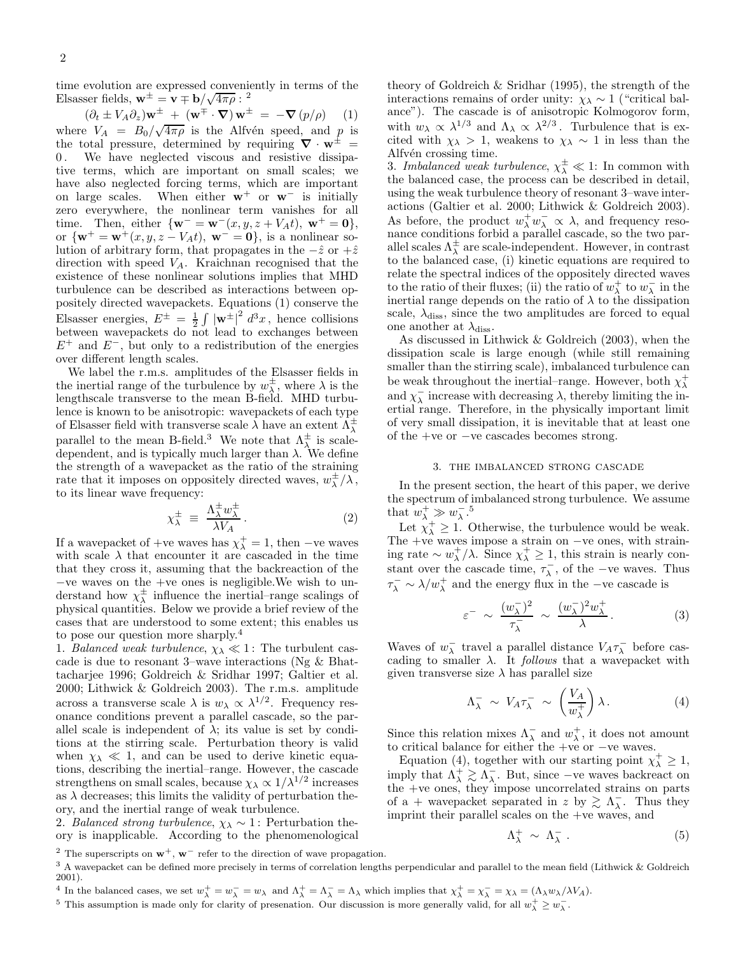time evolution are expressed conveniently in terms of the Elsasser fields,  $\mathbf{w}^{\pm} = \mathbf{v} \mp \mathbf{b}/\sqrt{4\pi \rho}$ : <sup>2</sup>

$$
(\partial_t \pm V_A \partial_z) \mathbf{w}^{\pm} + (\mathbf{w}^{\mp} \cdot \nabla) \mathbf{w}^{\pm} = -\nabla (p/\rho) \qquad (1)
$$

where  $V_A = B_0 / \sqrt{4 \pi \rho}$  is the Alfvén speed, and p is the total pressure, determined by requiring  $\nabla \cdot \mathbf{w}^{\pm} = 0$ . We have neglected viscous and resistive dissipa-We have neglected viscous and resistive dissipative terms, which are important on small scales; we have also neglected forcing terms, which are important on large scales. When either  $w^+$  or  $w^-$  is initially zero everywhere, the nonlinear term vanishes for all time. Then, either  $\{w^- = w^-(x, y, z + V_A t), w^+ = 0\},\$ or  $\{ \mathbf{w}^+ = \mathbf{w}^+(x, y, z - V_A t), \mathbf{w}^- = \mathbf{0} \}$ , is a nonlinear solution of arbitrary form, that propagates in the  $-\hat{z}$  or  $+\hat{z}$ direction with speed  $V_A$ . Kraichnan recognised that the existence of these nonlinear solutions implies that MHD turbulence can be described as interactions between oppositely directed wavepackets. Equations (1) conserve the Elsasser energies,  $E^{\pm} = \frac{1}{2} \int |\mathbf{w}^{\pm}|^2 d^3x$ , hence collisions between wavepackets do not lead to exchanges between  $E^+$  and  $E^-$ , but only to a redistribution of the energies over different length scales.

We label the r.m.s. amplitudes of the Elsasser fields in the inertial range of the turbulence by  $w_\lambda^{\pm}$ , where  $\lambda$  is the lengthscale transverse to the mean B-field. MHD turbulence is known to be anisotropic: wavepackets of each type of Elsasser field with transverse scale  $\lambda$  have an extent  $\Lambda_{\lambda}^{\pm}$ parallel to the mean B-field.<sup>3</sup> We note that  $\Lambda^{\pm}_{\lambda}$  is scaledependent, and is typically much larger than  $\lambda$ . We define the strength of a wavepacket as the ratio of the straining rate that it imposes on oppositely directed waves,  $w^{\pm}_{\lambda}/\lambda$ , to its linear wave frequency:

$$
\chi_{\lambda}^{\pm} \equiv \frac{\Lambda_{\lambda}^{\pm} w_{\lambda}^{\pm}}{\lambda V_A} \,. \tag{2}
$$

If a wavepacket of +ve waves has  $\chi^+_{\lambda} = 1$ , then −ve waves with scale  $\lambda$  that encounter it are cascaded in the time that they cross it, assuming that the backreaction of the −ve waves on the +ve ones is negligible.We wish to understand how  $\chi^{\pm}_{\lambda}$  influence the inertial–range scalings of physical quantities. Below we provide a brief review of the cases that are understood to some extent; this enables us to pose our question more sharply.<sup>4</sup>

1. Balanced weak turbulence,  $\chi_{\lambda} \ll 1$ : The turbulent cascade is due to resonant 3–wave interactions (Ng & Bhattacharjee 1996; Goldreich & Sridhar 1997; Galtier et al. 2000; Lithwick & Goldreich 2003). The r.m.s. amplitude across a transverse scale  $\lambda$  is  $w_{\lambda} \propto \lambda^{1/2}$ . Frequency resonance conditions prevent a parallel cascade, so the parallel scale is independent of  $\lambda$ ; its value is set by conditions at the stirring scale. Perturbation theory is valid when  $\chi_{\lambda} \ll 1$ , and can be used to derive kinetic equations, describing the inertial–range. However, the cascade strengthens on small scales, because  $\chi_{\lambda} \propto 1/\lambda^{1/2}$  increases as  $\lambda$  decreases; this limits the validity of perturbation theory, and the inertial range of weak turbulence.

2. Balanced strong turbulence,  $\chi_{\lambda} \sim 1$ : Perturbation theory is inapplicable. According to the phenomenological

3. Imbalanced weak turbulence,  $\chi^{\pm}_{\lambda} \ll 1$ : In common with the balanced case, the process can be described in detail, using the weak turbulence theory of resonant 3–wave interactions (Galtier et al. 2000; Lithwick & Goldreich 2003). As before, the product  $w^+_{\lambda} w^-_{\lambda} \propto \lambda$ , and frequency reso-<br>nance conditions forbid a parallel cascade, so the two parallel scales  $\Lambda_{\lambda}^{\pm}$  are scale-independent. However, in contrast to the balanced case, (i) kinetic equations are required to relate the spectral indices of the oppositely directed waves to the ratio of their fluxes; (ii) the ratio of  $w_\lambda^+$  to  $w_\lambda^-$  in the inertial range depends on the ratio of  $\lambda$  to the dissipation scale,  $\lambda_{\text{diss}}$ , since the two amplitudes are forced to equal one another at  $\lambda_{\rm diss}.$ 

As discussed in Lithwick & Goldreich (2003), when the dissipation scale is large enough (while still remaining smaller than the stirring scale), imbalanced turbulence can be weak throughout the inertial–range. However, both  $\chi_{\lambda}^{+}$ and  $\chi_{\lambda}^{-}$  increase with decreasing  $\lambda$ , thereby limiting the inertial range. Therefore, in the physically important limit of very small dissipation, it is inevitable that at least one of the +ve or −ve cascades becomes strong.

#### 3. the imbalanced strong cascade

In the present section, the heart of this paper, we derive the spectrum of imbalanced strong turbulence. We assume that  $w_\lambda^+ \gg w_\lambda^-.5$ 

Let  $\chi^+$   $\geq$  1. Otherwise, the turbulence would be weak. The +ve waves impose a strain on −ve ones, with straining rate ~  $w_{\lambda}^{+}/\lambda$ . Since  $\chi_{\lambda}^{+} \geq 1$ , this strain is nearly constant over the cascade time,  $\tau_{\lambda}^{-}$ , of the −ve waves. Thus  $\tau_{\lambda}^- \sim \lambda/w_{\lambda}^+$  and the energy flux in the –ve cascade is

$$
\varepsilon^{-} \sim \frac{(w_{\lambda}^{-})^{2}}{\tau_{\lambda}^{-}} \sim \frac{(w_{\lambda}^{-})^{2} w_{\lambda}^{+}}{\lambda}.
$$
 (3)

Waves of  $w_\lambda^-$  travel a parallel distance  $V_A \tau_\lambda^-$  before cascading to smaller  $\lambda$ . It *follows* that a wavepacket with given transverse size  $\lambda$  has parallel size

$$
\Lambda_{\lambda}^{-} \sim V_{A} \tau_{\lambda}^{-} \sim \left(\frac{V_{A}}{w_{\lambda}^{+}}\right) \lambda.
$$
 (4)

Since this relation mixes  $\Lambda_{\lambda}^-$  and  $w_{\lambda}^+$ , it does not amount to critical balance for either the +ve or −ve waves.

Equation (4), together with our starting point  $\chi^+_{\lambda} \geq 1$ , imply that  $\Lambda_{\lambda}^{+} \geq \Lambda_{\lambda}^{-}$ . But, since –ve waves backreact on the +ve ones, they impose uncorrelated strains on parts of a + wavepacket separated in z by  $\gtrsim \Lambda_{\lambda}$ . Thus they imprint their parallel scales on the +ve waves, and

$$
\Lambda^+_{\lambda} \sim \Lambda^-_{\lambda} \ . \tag{5}
$$

<sup>5</sup> This assumption is made only for clarity of presenation. Our discussion is more generally valid, for all  $w_\lambda^+ \geq w_\lambda^-$ .

theory of Goldreich & Sridhar (1995), the strength of the interactions remains of order unity:  $\chi_{\lambda} \sim 1$  ("critical balance"). The cascade is of anisotropic Kolmogorov form, with  $w_\lambda \propto \lambda^{1/3}$  and  $\Lambda_\lambda \propto \lambda^{2/3}$ . Turbulence that is excited with  $\chi_{\lambda} > 1$ , weakens to  $\chi_{\lambda} \sim 1$  in less than the Alfvén crossing time.

<sup>&</sup>lt;sup>2</sup> The superscripts on  $w^+$ ,  $w^-$  refer to the direction of wave propagation.

<sup>&</sup>lt;sup>3</sup> A wavepacket can be defined more precisely in terms of correlation lengths perpendicular and parallel to the mean field (Lithwick & Goldreich 2001).

<sup>&</sup>lt;sup>4</sup> In the balanced cases, we set  $w_\lambda^+ = w_\lambda^- = w_\lambda$  and  $\Lambda_\lambda^+ = \Lambda_\lambda^- = \Lambda_\lambda$  which implies that  $\chi_\lambda^+ = \chi_\lambda^- = \chi_\lambda = (\Lambda_\lambda w_\lambda / \lambda V_A)$ .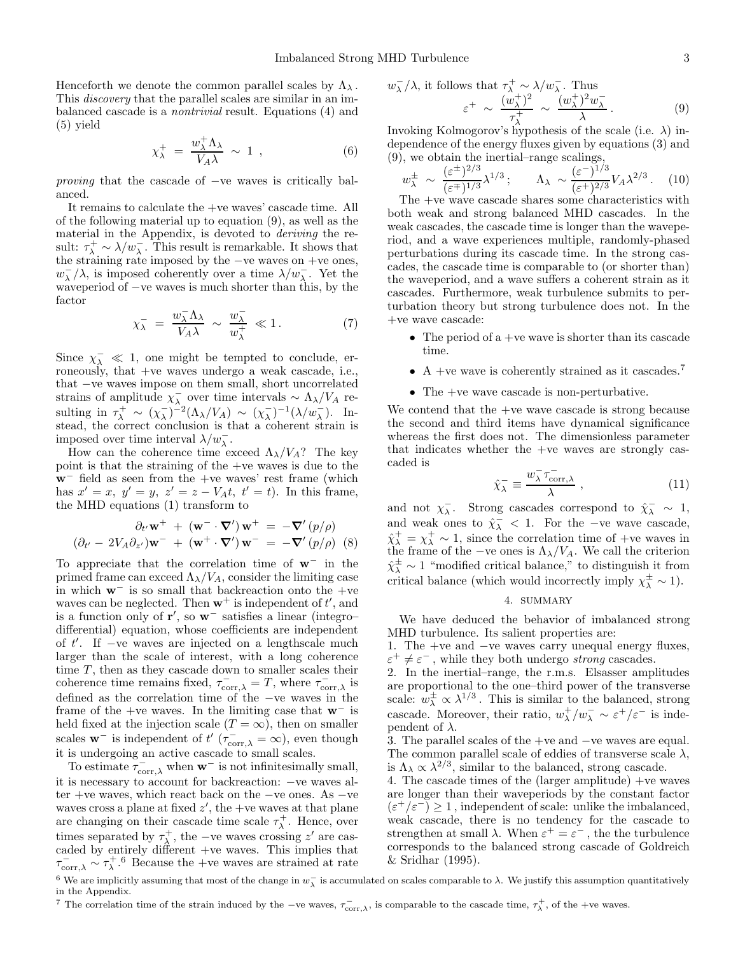Henceforth we denote the common parallel scales by  $\Lambda_{\lambda}$ . This *discovery* that the parallel scales are similar in an imbalanced cascade is a nontrivial result. Equations (4) and (5) yield

$$
\chi_{\lambda}^{+} = \frac{w_{\lambda}^{+} \Lambda_{\lambda}}{V_{A} \lambda} \sim 1 , \qquad (6)
$$

proving that the cascade of −ve waves is critically balanced.

It remains to calculate the +ve waves' cascade time. All of the following material up to equation (9), as well as the material in the Appendix, is devoted to deriving the result:  $\tau_{\lambda}^{+} \sim \lambda/w_{\lambda}^{-}$ . This result is remarkable. It shows that the straining rate imposed by the −ve waves on +ve ones,  $w_\lambda^-\lambda$ , is imposed coherently over a time  $\lambda/w_\lambda^-$ . Yet the waveperiod of −ve waves is much shorter than this, by the factor

$$
\chi_{\lambda}^{-} = \frac{w_{\lambda}^{-} \Lambda_{\lambda}}{V_{A} \lambda} \sim \frac{w_{\lambda}^{-}}{w_{\lambda}^{+}} \ll 1. \tag{7}
$$

Since  $\chi_{\lambda}^- \ll 1$ , one might be tempted to conclude, erroneously, that +ve waves undergo a weak cascade, i.e., that −ve waves impose on them small, short uncorrelated strains of amplitude  $\chi_{\lambda}^-$  over time intervals ~  $\Lambda_{\lambda}/V_A$  resulting in  $\tau_{\lambda}^{+} \sim (\chi_{\lambda}^{-})^{-2} (\Lambda_{\lambda}/V_{A}) \sim (\chi_{\lambda}^{-})^{-1} (\lambda/w_{\lambda}^{-})$ . Instead, the correct conclusion is that a coherent strain is imposed over time interval  $\lambda/w_\lambda^-$ .

How can the coherence time exceed  $\Lambda_{\lambda}/V_A$ ? The key point is that the straining of the +ve waves is due to the w<sup>−</sup> field as seen from the +ve waves' rest frame (which has  $x' = x$ ,  $y' = y$ ,  $z' = z - V_A t$ ,  $t' = t$ ). In this frame, the MHD equations (1) transform to

$$
\partial_{t'} \mathbf{w}^+ + (\mathbf{w}^- \cdot \nabla') \mathbf{w}^+ = -\nabla' (p/\rho)
$$
  

$$
(\partial_{t'} - 2V_A \partial_{z'}) \mathbf{w}^- + (\mathbf{w}^+ \cdot \nabla') \mathbf{w}^- = -\nabla' (p/\rho)
$$
 (8)

To appreciate that the correlation time of  $w^-$  in the primed frame can exceed  $\Lambda_{\lambda}/V_A$ , consider the limiting case in which  $w^-$  is so small that backreaction onto the +ve waves can be neglected. Then  $w^+$  is independent of  $t'$ , and is a function only of  $\mathbf{r}'$ , so  $\mathbf{w}^-$  satisfies a linear (integro– differential) equation, whose coefficients are independent of t ′ . If −ve waves are injected on a lengthscale much larger than the scale of interest, with a long coherence time  $T$ , then as they cascade down to smaller scales their coherence time remains fixed,  $\tau_{\text{corr},\lambda}^- = T$ , where  $\tau_{\text{corr},\lambda}^-$  is defined as the correlation time of the −ve waves in the frame of the +ve waves. In the limiting case that  $w^-$  is held fixed at the injection scale  $(T = \infty)$ , then on smaller scales **w**<sup>-</sup> is independent of  $t'$  ( $\tau_{\text{corr},\lambda}^{-} = \infty$ ), even though it is undergoing an active cascade to small scales.

To estimate  $\tau_{\text{corr},\lambda}^{-}$  when  $\mathbf{w}^{-}$  is not infinitesimally small, it is necessary to account for backreaction: −ve waves alter +ve waves, which react back on the −ve ones. As −ve waves cross a plane at fixed  $z'$ , the +ve waves at that plane are changing on their cascade time scale  $\tau_{\lambda}^{+}$ . Hence, over times separated by  $\tau_{\lambda}^{+}$ , the −ve waves crossing z' are cascaded by entirely different  $+ve$  waves. This implies that  $\tau_{\text{corr},\lambda}^{-} \sim \tau_{\lambda}^{+}$ .<sup>6</sup> Because the +ve waves are strained at rate

$$
w_{\lambda}^{-}/\lambda
$$
, it follows that  $\tau_{\lambda}^{+} \sim \lambda/w_{\lambda}^{-}$ . Thus  
\n
$$
\varepsilon^{+} \sim \frac{(w_{\lambda}^{+})^{2}}{\tau_{\lambda}^{+}} \sim \frac{(w_{\lambda}^{+})^{2}w_{\lambda}^{-}}{\lambda}.
$$
\n(9)

Invoking Kolmogorov's hypothesis of the scale (i.e.  $\lambda$ ) independence of the energy fluxes given by equations (3) and (9), we obtain the inertial–range scalings,

$$
w_{\lambda}^{\pm} \sim \frac{(\varepsilon^{\pm})^{2/3}}{(\varepsilon^{\mp})^{1/3}} \lambda^{1/3}; \qquad \Lambda_{\lambda} \sim \frac{(\varepsilon^{-})^{1/3}}{(\varepsilon^{\pm})^{2/3}} V_A \lambda^{2/3}. \tag{10}
$$

The +ve wave cascade shares some characteristics with both weak and strong balanced MHD cascades. In the weak cascades, the cascade time is longer than the waveperiod, and a wave experiences multiple, randomly-phased perturbations during its cascade time. In the strong cascades, the cascade time is comparable to (or shorter than) the waveperiod, and a wave suffers a coherent strain as it cascades. Furthermore, weak turbulence submits to perturbation theory but strong turbulence does not. In the +ve wave cascade:

- The period of  $a +ve$  wave is shorter than its cascade time.
- A +ve wave is coherently strained as it cascades.<sup>7</sup>
- The +ve wave cascade is non-perturbative.

We contend that the +ve wave cascade is strong because the second and third items have dynamical significance whereas the first does not. The dimensionless parameter that indicates whether the +ve waves are strongly cascaded is

$$
\hat{\chi}_{\lambda}^{-} \equiv \frac{w_{\lambda}^{-} \tau_{\text{corr},\lambda}^{-}}{\lambda} , \qquad (11)
$$

and not  $\chi_{\lambda}^-$ . Strong cascades correspond to  $\hat{\chi}_{\lambda}^- \sim 1$ , and weak ones to  $\hat{\chi}^-$  < 1. For the -ve wave cascade,  $\hat{\chi}_{\lambda}^{+} = \chi_{\lambda}^{+} \sim 1$ , since the correlation time of +ve waves in the frame of the −ve ones is  $\Lambda_{\lambda}/V_A$ . We call the criterion  $\hat{\chi}_{\lambda}^{\pm} \sim 1$  "modified critical balance," to distinguish it from critical balance (which would incorrectly imply  $\chi^{\pm}_{\lambda} \sim 1$ ).

### 4. SUMMARY

We have deduced the behavior of imbalanced strong MHD turbulence. Its salient properties are:

1. The +ve and −ve waves carry unequal energy fluxes,  $\varepsilon^+ \neq \varepsilon^-$ , while they both undergo *strong* cascades.

2. In the inertial–range, the r.m.s. Elsasser amplitudes are proportional to the one–third power of the transverse scale:  $w^{\pm}_{\lambda} \propto \lambda^{1/3}$ . This is similar to the balanced, strong cascade. Moreover, their ratio,  $w_\lambda^+ / w_\lambda^- \sim \varepsilon^+ / \varepsilon^-$  is independent of  $\lambda$ .

3. The parallel scales of the +ve and −ve waves are equal. The common parallel scale of eddies of transverse scale  $\lambda$ , is  $\Lambda_{\lambda} \propto \lambda^{2/3}$ , similar to the balanced, strong cascade.

4. The cascade times of the (larger amplitude) +ve waves are longer than their waveperiods by the constant factor  $(\varepsilon^+/\varepsilon^-) \ge 1$ , independent of scale: unlike the imbalanced, weak cascade, there is no tendency for the cascade to strengthen at small  $\lambda$ . When  $\varepsilon^+ = \varepsilon^-$ , the the turbulence corresponds to the balanced strong cascade of Goldreich & Sridhar (1995).

<sup>&</sup>lt;sup>6</sup> We are implicitly assuming that most of the change in  $w_{\lambda}^-$  is accumulated on scales comparable to  $\lambda$ . We justify this assumption quantitatively in the Appendix.

<sup>&</sup>lt;sup>7</sup> The correlation time of the strain induced by the −ve waves,  $\tau_{\text{corr},\lambda}^-$ , is comparable to the cascade time,  $\tau_{\lambda}^+$ , of the +ve waves.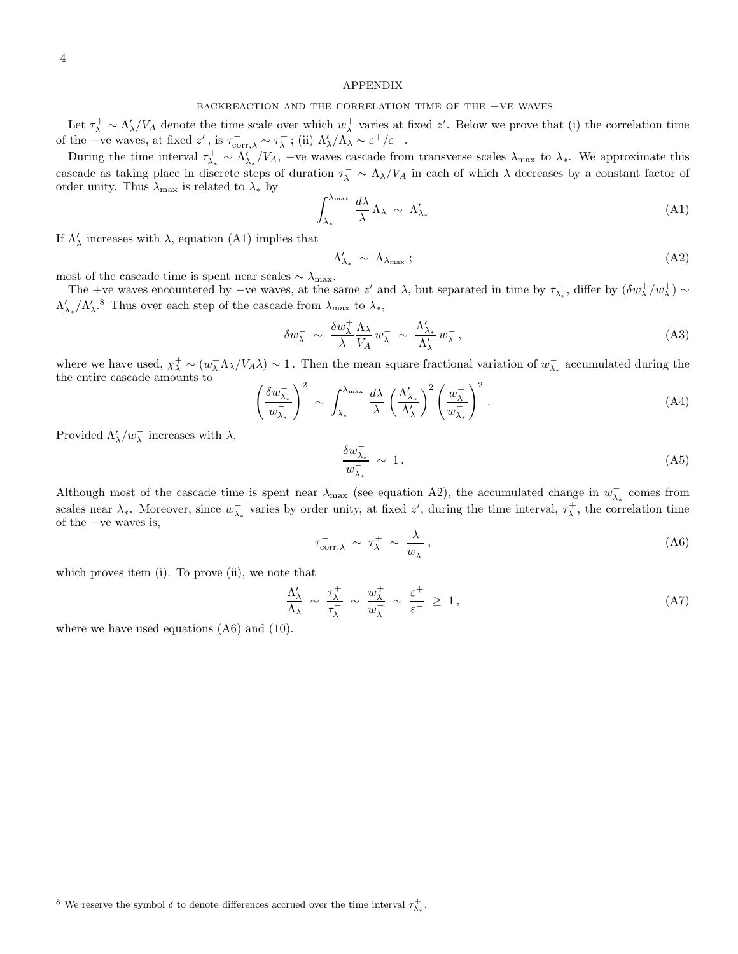### APPENDIX

# backreaction and the correlation time of the −ve waves

Let  $\tau_{\lambda}^{+} \sim \Lambda_{\lambda}'/V_A$  denote the time scale over which  $w_{\lambda}^{+}$  varies at fixed  $z'$ . Below we prove that (i) the correlation time of the −ve waves, at fixed  $z'$ , is  $\tau_{\text{corr},\lambda}^- \sim \tau_{\lambda}^+$ ; (ii)  $\Lambda'_{\lambda}/\Lambda_{\lambda} \sim \varepsilon^+/\varepsilon^-$ .

During the time interval  $\tau_{\lambda_*}^+ \sim \Lambda_{\lambda_*}^{\prime}/V_A$ , –ve waves cascade from transverse scales  $\lambda_{\text{max}}$  to  $\lambda_*$ . We approximate this cascade as taking place in discrete steps of duration  $\tau_{\lambda}^- \sim \Lambda_{\lambda}/V_A$  in each of which  $\lambda$  decreases by a constant factor of order unity. Thus  $\lambda_{\text{max}}$  is related to  $\lambda_*$  by

$$
\int_{\lambda_*}^{\lambda_{\text{max}}} \frac{d\lambda}{\lambda} \Lambda_{\lambda} \sim \Lambda'_{\lambda_*} \tag{A1}
$$

If  $\Lambda_\lambda'$  increases with  $\lambda,$  equation (A1) implies that

$$
\Lambda'_{\lambda_*} \sim \Lambda_{\lambda_{\text{max}}};\tag{A2}
$$

most of the cascade time is spent near scales  $\sim \lambda_{\rm max}.$ 

The +ve waves encountered by  $-\text{ve waves}$ , at the same z' and  $\lambda$ , but separated in time by  $\tau_{\lambda_*}^+$ , differ by  $(\delta w_\lambda^+ / w_\lambda^+) \sim$  $\Lambda'_{\lambda_*}/\Lambda'_\lambda$ .<sup>8</sup> Thus over each step of the cascade from  $\lambda_{\text{max}}$  to  $\lambda_*,$ 

$$
\delta w_{\lambda}^{-} \sim \frac{\delta w_{\lambda}^{+}}{\lambda} \frac{\Lambda_{\lambda}}{V_{A}} w_{\lambda}^{-} \sim \frac{\Lambda_{\lambda_{*}}'}{\Lambda_{\lambda}'} w_{\lambda}^{-}, \tag{A3}
$$

where we have used,  $\chi^+_{\lambda} \sim (w^+_{\lambda} \Lambda_{\lambda}/V_A \lambda) \sim 1$ . Then the mean square fractional variation of  $w^-_{\lambda_*}$  accumulated during the the entire cascade amounts to  $\left(\delta w_{\lambda}^{-}\right)^2$   $\int_{1}^{\lambda_{\text{max}}} d\lambda \left(\Lambda_{\lambda}^{'}\right)^2 \left(w_{\lambda}^{-}\right)^2$ 

$$
\left(\frac{\delta w_{\lambda_*}^-}{w_{\lambda_*}^-}\right)^2 \sim \int_{\lambda_*}^{\lambda_{\text{max}}} \frac{d\lambda}{\lambda} \left(\frac{\Lambda'_{\lambda_*}}{\Lambda'_{\lambda}}\right)^2 \left(\frac{w_{\lambda}^-}{w_{\lambda_*}^-}\right)^2.
$$
 (A4)

Provided  $\Lambda'_\lambda/w_\lambda^-$  increases with  $\lambda$ ,

$$
\frac{\delta w_{\lambda_*}^-}{w_{\lambda_*}^-} \sim 1. \tag{A5}
$$

Although most of the cascade time is spent near  $\lambda_{\text{max}}$  (see equation A2), the accumulated change in  $w_{\lambda_*}^-$  comes from scales near  $\lambda_*$ . Moreover, since  $w_{\lambda_*}^-$  varies by order unity, at fixed z', during the time interval,  $\tau_\lambda^+$ , the correlation time of the −ve waves is,

$$
\tau_{\text{corr},\lambda}^{-} \sim \tau_{\lambda}^{+} \sim \frac{\lambda}{w_{\lambda}^{-}},\tag{A6}
$$

which proves item (i). To prove (ii), we note that

$$
\frac{\Lambda'_{\lambda}}{\Lambda_{\lambda}} \sim \frac{\tau_{\lambda}^{+}}{\tau_{\lambda}^{-}} \sim \frac{w_{\lambda}^{+}}{w_{\lambda}^{-}} \sim \frac{\varepsilon^{+}}{\varepsilon^{-}} \ge 1, \tag{A7}
$$

where we have used equations  $(A6)$  and  $(10)$ .